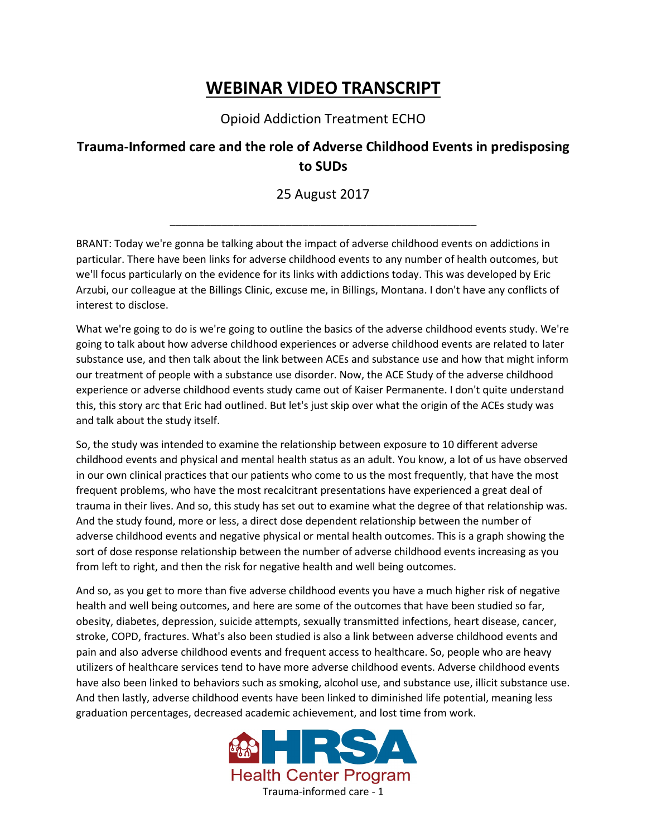## **WEBINAR VIDEO TRANSCRIPT**

Opioid Addiction Treatment ECHO

## **Trauma-Informed care and the role of Adverse Childhood Events in predisposing to SUDs**

25 August 2017

\_\_\_\_\_\_\_\_\_\_\_\_\_\_\_\_\_\_\_\_\_\_\_\_\_\_\_\_\_\_\_\_\_\_\_\_\_\_\_\_\_\_\_\_\_\_\_\_\_\_\_\_\_

BRANT: Today we're gonna be talking about the impact of adverse childhood events on addictions in particular. There have been links for adverse childhood events to any number of health outcomes, but we'll focus particularly on the evidence for its links with addictions today. This was developed by Eric Arzubi, our colleague at the Billings Clinic, excuse me, in Billings, Montana. I don't have any conflicts of interest to disclose.

What we're going to do is we're going to outline the basics of the adverse childhood events study. We're going to talk about how adverse childhood experiences or adverse childhood events are related to later substance use, and then talk about the link between ACEs and substance use and how that might inform our treatment of people with a substance use disorder. Now, the ACE Study of the adverse childhood experience or adverse childhood events study came out of Kaiser Permanente. I don't quite understand this, this story arc that Eric had outlined. But let's just skip over what the origin of the ACEs study was and talk about the study itself.

So, the study was intended to examine the relationship between exposure to 10 different adverse childhood events and physical and mental health status as an adult. You know, a lot of us have observed in our own clinical practices that our patients who come to us the most frequently, that have the most frequent problems, who have the most recalcitrant presentations have experienced a great deal of trauma in their lives. And so, this study has set out to examine what the degree of that relationship was. And the study found, more or less, a direct dose dependent relationship between the number of adverse childhood events and negative physical or mental health outcomes. This is a graph showing the sort of dose response relationship between the number of adverse childhood events increasing as you from left to right, and then the risk for negative health and well being outcomes.

And so, as you get to more than five adverse childhood events you have a much higher risk of negative health and well being outcomes, and here are some of the outcomes that have been studied so far, obesity, diabetes, depression, suicide attempts, sexually transmitted infections, heart disease, cancer, stroke, COPD, fractures. What's also been studied is also a link between adverse childhood events and pain and also adverse childhood events and frequent access to healthcare. So, people who are heavy utilizers of healthcare services tend to have more adverse childhood events. Adverse childhood events have also been linked to behaviors such as smoking, alcohol use, and substance use, illicit substance use. And then lastly, adverse childhood events have been linked to diminished life potential, meaning less graduation percentages, decreased academic achievement, and lost time from work.

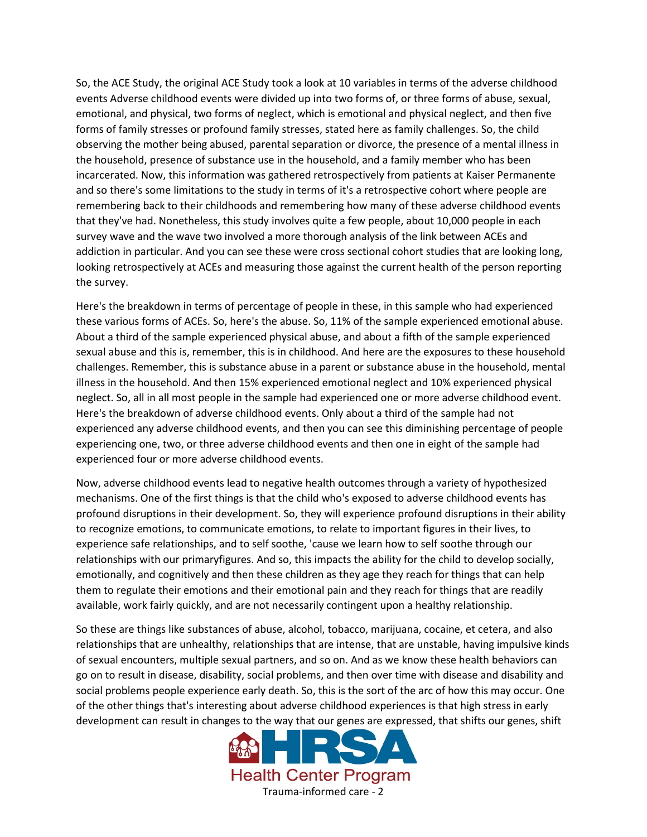So, the ACE Study, the original ACE Study took a look at 10 variables in terms of the adverse childhood events Adverse childhood events were divided up into two forms of, or three forms of abuse, sexual, emotional, and physical, two forms of neglect, which is emotional and physical neglect, and then five forms of family stresses or profound family stresses, stated here as family challenges. So, the child observing the mother being abused, parental separation or divorce, the presence of a mental illness in the household, presence of substance use in the household, and a family member who has been incarcerated. Now, this information was gathered retrospectively from patients at Kaiser Permanente and so there's some limitations to the study in terms of it's a retrospective cohort where people are remembering back to their childhoods and remembering how many of these adverse childhood events that they've had. Nonetheless, this study involves quite a few people, about 10,000 people in each survey wave and the wave two involved a more thorough analysis of the link between ACEs and addiction in particular. And you can see these were cross sectional cohort studies that are looking long, looking retrospectively at ACEs and measuring those against the current health of the person reporting the survey.

Here's the breakdown in terms of percentage of people in these, in this sample who had experienced these various forms of ACEs. So, here's the abuse. So, 11% of the sample experienced emotional abuse. About a third of the sample experienced physical abuse, and about a fifth of the sample experienced sexual abuse and this is, remember, this is in childhood. And here are the exposures to these household challenges. Remember, this is substance abuse in a parent or substance abuse in the household, mental illness in the household. And then 15% experienced emotional neglect and 10% experienced physical neglect. So, all in all most people in the sample had experienced one or more adverse childhood event. Here's the breakdown of adverse childhood events. Only about a third of the sample had not experienced any adverse childhood events, and then you can see this diminishing percentage of people experiencing one, two, or three adverse childhood events and then one in eight of the sample had experienced four or more adverse childhood events.

Now, adverse childhood events lead to negative health outcomes through a variety of hypothesized mechanisms. One of the first things is that the child who's exposed to adverse childhood events has profound disruptions in their development. So, they will experience profound disruptions in their ability to recognize emotions, to communicate emotions, to relate to important figures in their lives, to experience safe relationships, and to self soothe, 'cause we learn how to self soothe through our relationships with our primaryfigures. And so, this impacts the ability for the child to develop socially, emotionally, and cognitively and then these children as they age they reach for things that can help them to regulate their emotions and their emotional pain and they reach for things that are readily available, work fairly quickly, and are not necessarily contingent upon a healthy relationship.

So these are things like substances of abuse, alcohol, tobacco, marijuana, cocaine, et cetera, and also relationships that are unhealthy, relationships that are intense, that are unstable, having impulsive kinds of sexual encounters, multiple sexual partners, and so on. And as we know these health behaviors can go on to result in disease, disability, social problems, and then over time with disease and disability and social problems people experience early death. So, this is the sort of the arc of how this may occur. One of the other things that's interesting about adverse childhood experiences is that high stress in early development can result in changes to the way that our genes are expressed, that shifts our genes, shift

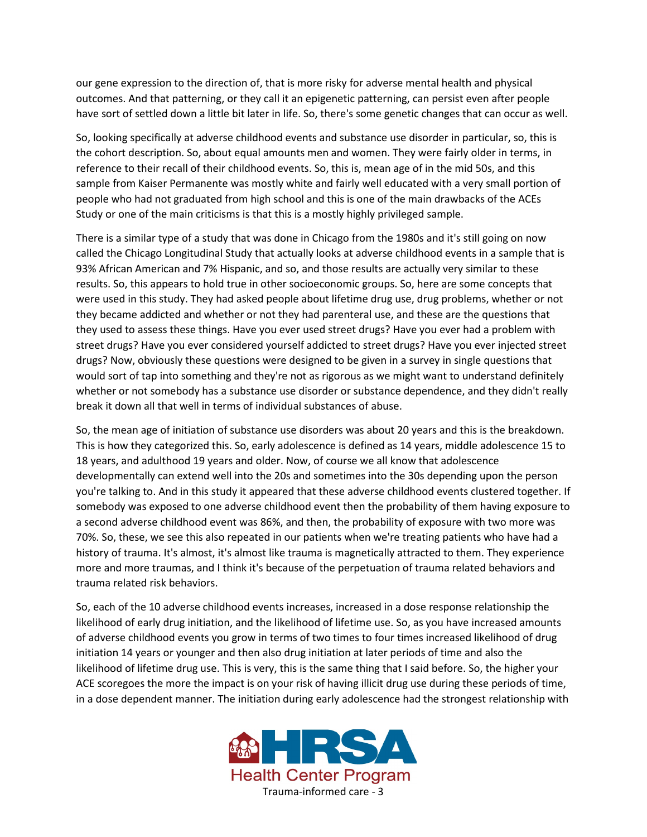our gene expression to the direction of, that is more risky for adverse mental health and physical outcomes. And that patterning, or they call it an epigenetic patterning, can persist even after people have sort of settled down a little bit later in life. So, there's some genetic changes that can occur as well.

So, looking specifically at adverse childhood events and substance use disorder in particular, so, this is the cohort description. So, about equal amounts men and women. They were fairly older in terms, in reference to their recall of their childhood events. So, this is, mean age of in the mid 50s, and this sample from Kaiser Permanente was mostly white and fairly well educated with a very small portion of people who had not graduated from high school and this is one of the main drawbacks of the ACEs Study or one of the main criticisms is that this is a mostly highly privileged sample.

There is a similar type of a study that was done in Chicago from the 1980s and it's still going on now called the Chicago Longitudinal Study that actually looks at adverse childhood events in a sample that is 93% African American and 7% Hispanic, and so, and those results are actually very similar to these results. So, this appears to hold true in other socioeconomic groups. So, here are some concepts that were used in this study. They had asked people about lifetime drug use, drug problems, whether or not they became addicted and whether or not they had parenteral use, and these are the questions that they used to assess these things. Have you ever used street drugs? Have you ever had a problem with street drugs? Have you ever considered yourself addicted to street drugs? Have you ever injected street drugs? Now, obviously these questions were designed to be given in a survey in single questions that would sort of tap into something and they're not as rigorous as we might want to understand definitely whether or not somebody has a substance use disorder or substance dependence, and they didn't really break it down all that well in terms of individual substances of abuse.

So, the mean age of initiation of substance use disorders was about 20 years and this is the breakdown. This is how they categorized this. So, early adolescence is defined as 14 years, middle adolescence 15 to 18 years, and adulthood 19 years and older. Now, of course we all know that adolescence developmentally can extend well into the 20s and sometimes into the 30s depending upon the person you're talking to. And in this study it appeared that these adverse childhood events clustered together. If somebody was exposed to one adverse childhood event then the probability of them having exposure to a second adverse childhood event was 86%, and then, the probability of exposure with two more was 70%. So, these, we see this also repeated in our patients when we're treating patients who have had a history of trauma. It's almost, it's almost like trauma is magnetically attracted to them. They experience more and more traumas, and I think it's because of the perpetuation of trauma related behaviors and trauma related risk behaviors.

So, each of the 10 adverse childhood events increases, increased in a dose response relationship the likelihood of early drug initiation, and the likelihood of lifetime use. So, as you have increased amounts of adverse childhood events you grow in terms of two times to four times increased likelihood of drug initiation 14 years or younger and then also drug initiation at later periods of time and also the likelihood of lifetime drug use. This is very, this is the same thing that I said before. So, the higher your ACE scoregoes the more the impact is on your risk of having illicit drug use during these periods of time, in a dose dependent manner. The initiation during early adolescence had the strongest relationship with

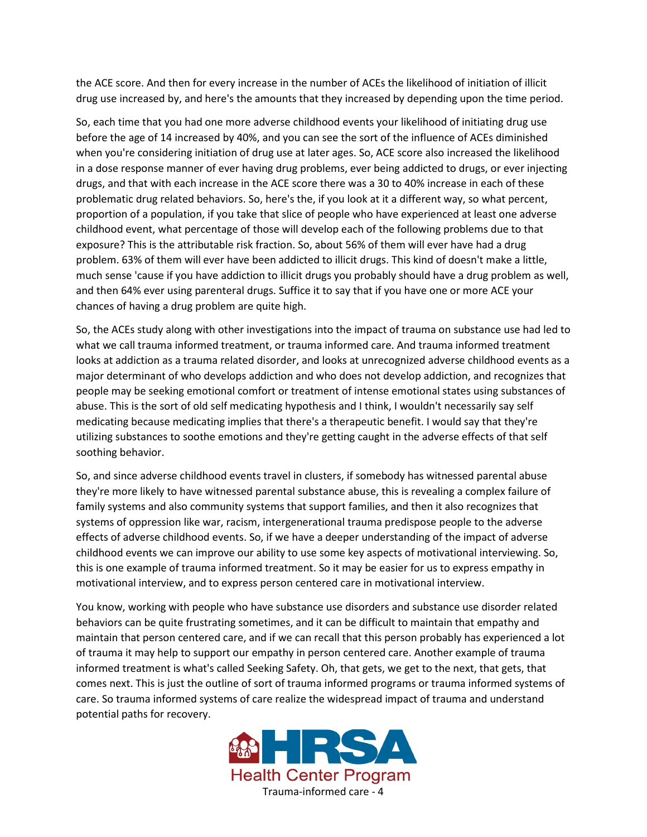the ACE score. And then for every increase in the number of ACEs the likelihood of initiation of illicit drug use increased by, and here's the amounts that they increased by depending upon the time period.

So, each time that you had one more adverse childhood events your likelihood of initiating drug use before the age of 14 increased by 40%, and you can see the sort of the influence of ACEs diminished when you're considering initiation of drug use at later ages. So, ACE score also increased the likelihood in a dose response manner of ever having drug problems, ever being addicted to drugs, or ever injecting drugs, and that with each increase in the ACE score there was a 30 to 40% increase in each of these problematic drug related behaviors. So, here's the, if you look at it a different way, so what percent, proportion of a population, if you take that slice of people who have experienced at least one adverse childhood event, what percentage of those will develop each of the following problems due to that exposure? This is the attributable risk fraction. So, about 56% of them will ever have had a drug problem. 63% of them will ever have been addicted to illicit drugs. This kind of doesn't make a little, much sense 'cause if you have addiction to illicit drugs you probably should have a drug problem as well, and then 64% ever using parenteral drugs. Suffice it to say that if you have one or more ACE your chances of having a drug problem are quite high.

So, the ACEs study along with other investigations into the impact of trauma on substance use had led to what we call trauma informed treatment, or trauma informed care. And trauma informed treatment looks at addiction as a trauma related disorder, and looks at unrecognized adverse childhood events as a major determinant of who develops addiction and who does not develop addiction, and recognizes that people may be seeking emotional comfort or treatment of intense emotional states using substances of abuse. This is the sort of old self medicating hypothesis and I think, I wouldn't necessarily say self medicating because medicating implies that there's a therapeutic benefit. I would say that they're utilizing substances to soothe emotions and they're getting caught in the adverse effects of that self soothing behavior.

So, and since adverse childhood events travel in clusters, if somebody has witnessed parental abuse they're more likely to have witnessed parental substance abuse, this is revealing a complex failure of family systems and also community systems that support families, and then it also recognizes that systems of oppression like war, racism, intergenerational trauma predispose people to the adverse effects of adverse childhood events. So, if we have a deeper understanding of the impact of adverse childhood events we can improve our ability to use some key aspects of motivational interviewing. So, this is one example of trauma informed treatment. So it may be easier for us to express empathy in motivational interview, and to express person centered care in motivational interview.

You know, working with people who have substance use disorders and substance use disorder related behaviors can be quite frustrating sometimes, and it can be difficult to maintain that empathy and maintain that person centered care, and if we can recall that this person probably has experienced a lot of trauma it may help to support our empathy in person centered care. Another example of trauma informed treatment is what's called Seeking Safety. Oh, that gets, we get to the next, that gets, that comes next. This is just the outline of sort of trauma informed programs or trauma informed systems of care. So trauma informed systems of care realize the widespread impact of trauma and understand potential paths for recovery.

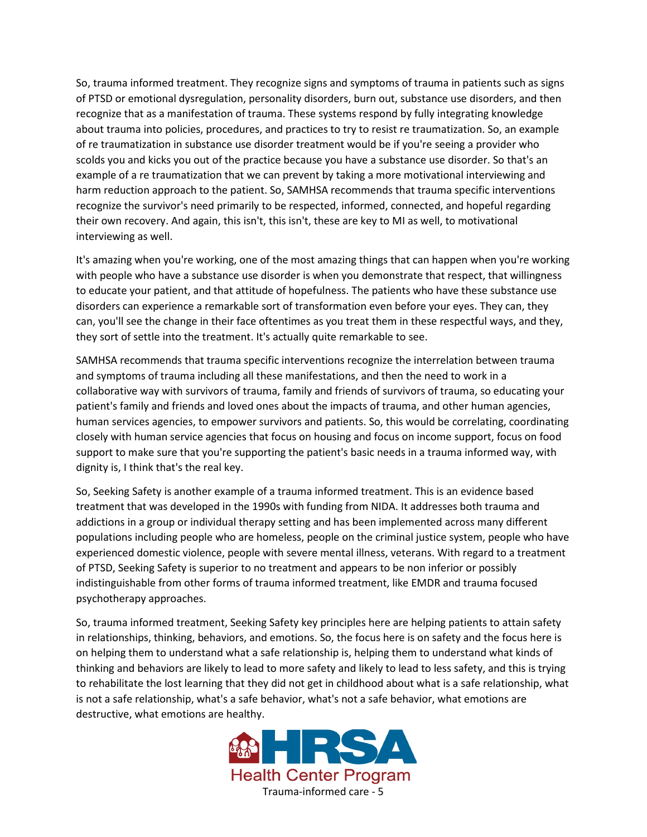So, trauma informed treatment. They recognize signs and symptoms of trauma in patients such as signs of PTSD or emotional dysregulation, personality disorders, burn out, substance use disorders, and then recognize that as a manifestation of trauma. These systems respond by fully integrating knowledge about trauma into policies, procedures, and practices to try to resist re traumatization. So, an example of re traumatization in substance use disorder treatment would be if you're seeing a provider who scolds you and kicks you out of the practice because you have a substance use disorder. So that's an example of a re traumatization that we can prevent by taking a more motivational interviewing and harm reduction approach to the patient. So, SAMHSA recommends that trauma specific interventions recognize the survivor's need primarily to be respected, informed, connected, and hopeful regarding their own recovery. And again, this isn't, this isn't, these are key to MI as well, to motivational interviewing as well.

It's amazing when you're working, one of the most amazing things that can happen when you're working with people who have a substance use disorder is when you demonstrate that respect, that willingness to educate your patient, and that attitude of hopefulness. The patients who have these substance use disorders can experience a remarkable sort of transformation even before your eyes. They can, they can, you'll see the change in their face oftentimes as you treat them in these respectful ways, and they, they sort of settle into the treatment. It's actually quite remarkable to see.

SAMHSA recommends that trauma specific interventions recognize the interrelation between trauma and symptoms of trauma including all these manifestations, and then the need to work in a collaborative way with survivors of trauma, family and friends of survivors of trauma, so educating your patient's family and friends and loved ones about the impacts of trauma, and other human agencies, human services agencies, to empower survivors and patients. So, this would be correlating, coordinating closely with human service agencies that focus on housing and focus on income support, focus on food support to make sure that you're supporting the patient's basic needs in a trauma informed way, with dignity is, I think that's the real key.

So, Seeking Safety is another example of a trauma informed treatment. This is an evidence based treatment that was developed in the 1990s with funding from NIDA. It addresses both trauma and addictions in a group or individual therapy setting and has been implemented across many different populations including people who are homeless, people on the criminal justice system, people who have experienced domestic violence, people with severe mental illness, veterans. With regard to a treatment of PTSD, Seeking Safety is superior to no treatment and appears to be non inferior or possibly indistinguishable from other forms of trauma informed treatment, like EMDR and trauma focused psychotherapy approaches.

So, trauma informed treatment, Seeking Safety key principles here are helping patients to attain safety in relationships, thinking, behaviors, and emotions. So, the focus here is on safety and the focus here is on helping them to understand what a safe relationship is, helping them to understand what kinds of thinking and behaviors are likely to lead to more safety and likely to lead to less safety, and this is trying to rehabilitate the lost learning that they did not get in childhood about what is a safe relationship, what is not a safe relationship, what's a safe behavior, what's not a safe behavior, what emotions are destructive, what emotions are healthy.